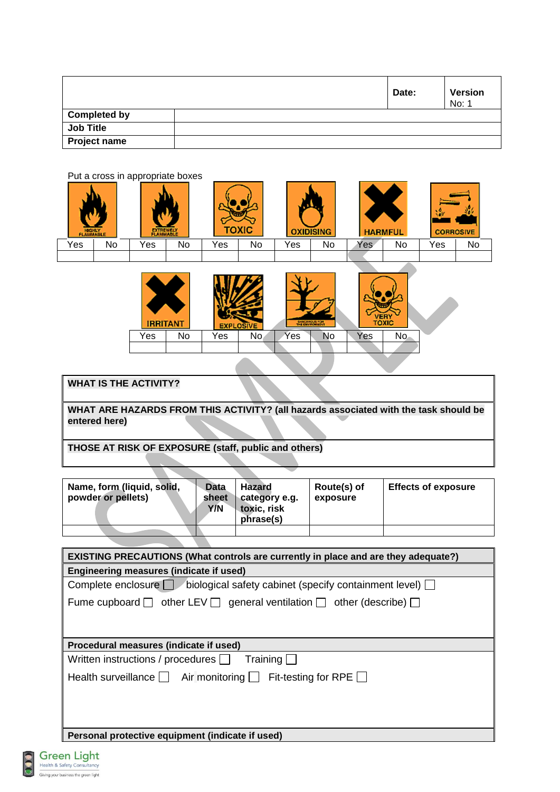|                     | Date: | <b>Version</b><br>No: 1 |
|---------------------|-------|-------------------------|
| <b>Completed by</b> |       |                         |
| <b>Job Title</b>    |       |                         |
| Project name        |       |                         |





## **WHAT IS THE ACTIVITY?**

**WHAT ARE HAZARDS FROM THIS ACTIVITY? (all hazards associated with the task should be entered here)**

**THOSE AT RISK OF EXPOSURE (staff, public and others)**

| Name, form (liquid, solid,<br>powder or pellets) | <b>Data</b><br>sheet<br>Y/N | <b>Hazard</b><br>category e.g.<br>toxic, risk<br>phrase(s) | Route(s) of<br>exposure | <b>Effects of exposure</b> |
|--------------------------------------------------|-----------------------------|------------------------------------------------------------|-------------------------|----------------------------|
|                                                  |                             |                                                            |                         |                            |

| <b>EXISTING PRECAUTIONS (What controls are currently in place and are they adequate?)</b> |  |  |  |
|-------------------------------------------------------------------------------------------|--|--|--|
| Engineering measures (indicate if used)                                                   |  |  |  |
| Complete enclosure $\Box$ biological safety cabinet (specify containment level) $\Box$    |  |  |  |
| Fume cupboard $\Box$ other LEV $\Box$ general ventilation $\Box$ other (describe) $\Box$  |  |  |  |
|                                                                                           |  |  |  |
|                                                                                           |  |  |  |
| Procedural measures (indicate if used)                                                    |  |  |  |
| Written instructions / procedures Training                                                |  |  |  |
| Health surveillance $\Box$ Air monitoring $\Box$ Fit-testing for RPE $\Box$               |  |  |  |
|                                                                                           |  |  |  |
|                                                                                           |  |  |  |
|                                                                                           |  |  |  |
| Personal protective equipment (indicate if used)                                          |  |  |  |